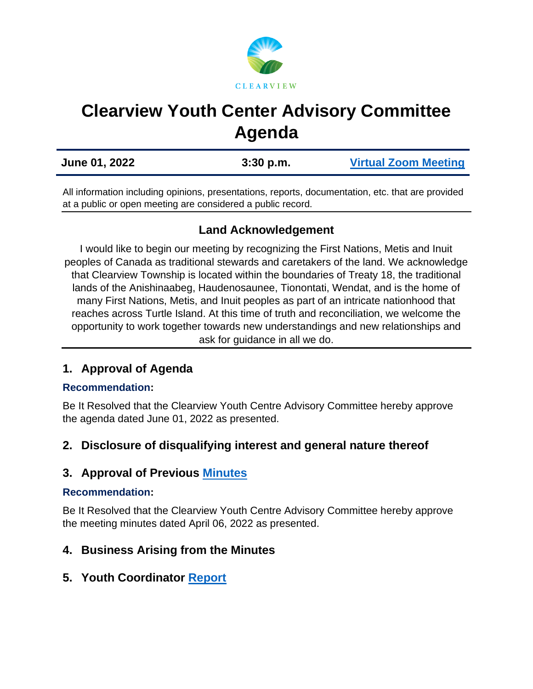

# **Clearview Youth Center Advisory Committee Agenda**

| June 01, 2022 | $3:30$ p.m. | <b>Virtual Zoom Meeting</b> |
|---------------|-------------|-----------------------------|
|               |             |                             |

All information including opinions, presentations, reports, documentation, etc. that are provided at a public or open meeting are considered a public record.

## **Land Acknowledgement**

I would like to begin our meeting by recognizing the First Nations, Metis and Inuit peoples of Canada as traditional stewards and caretakers of the land. We acknowledge that Clearview Township is located within the boundaries of Treaty 18, the traditional lands of the Anishinaabeg, Haudenosaunee, Tionontati, Wendat, and is the home of many First Nations, Metis, and Inuit peoples as part of an intricate nationhood that reaches across Turtle Island. At this time of truth and reconciliation, we welcome the opportunity to work together towards new understandings and new relationships and ask for guidance in all we do.

## **1. Approval of Agenda**

#### **Recommendation:**

Be It Resolved that the Clearview Youth Centre Advisory Committee hereby approve the agenda dated June 01, 2022 as presented.

## **2. Disclosure of disqualifying interest and general nature thereof**

# **3. Approval of Previous [Minutes](https://www.clearview.ca/sites/default/files/uploads/publications/2022-04-06_clearview_youth_centre_advisory_committee_minutes.pdf)**

#### **Recommendation:**

Be It Resolved that the Clearview Youth Centre Advisory Committee hereby approve the meeting minutes dated April 06, 2022 as presented.

## **4. Business Arising from the Minutes**

## **5. Youth Coordinator [Report](https://www.clearview.ca/sites/default/files/uploads/publications/youth_coordinator_report-_june_2022.pdf)**